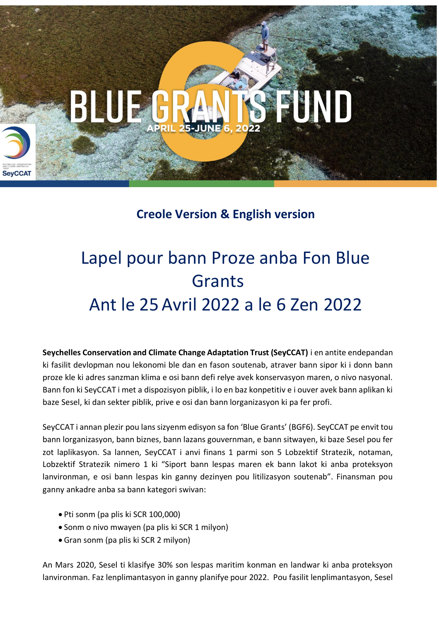

### **Creole Version & English version**

## Lapel pour bann Proze anba Fon Blue **Grants** Ant le 25 Avril 2022 a le 6 Zen 2022

**Seychelles Conservation and Climate Change Adaptation Trust (SeyCCAT)** i en antite endepandan ki fasilit devlopman nou lekonomi ble dan en fason soutenab, atraver bann sipor ki i donn bann proze kle ki adres sanzman klima e osi bann defi relye avek konservasyon maren, o nivo nasyonal. Bann fon ki SeyCCAT i met a dispozisyon piblik, i lo en baz konpetitiv e i ouver avek bann aplikan ki baze Sesel, ki dan sekter piblik, prive e osi dan bann lorganizasyon ki pa fer profi.

SeyCCAT i annan plezir pou lans sizyenm edisyon sa fon 'Blue Grants' (BGF6). SeyCCAT pe envit tou bann lorganizasyon, bann biznes, bann lazans gouvernman, e bann sitwayen, ki baze Sesel pou fer zot laplikasyon. Sa lannen, SeyCCAT i anvi finans 1 parmi son 5 Lobzektif Stratezik, notaman, Lobzektif Stratezik nimero 1 ki "Siport bann lespas maren ek bann lakot ki anba proteksyon lanvironman, e osi bann lespas kin ganny dezinyen pou litilizasyon soutenab". Finansman pou ganny ankadre anba sa bann kategori swivan:

- Pti sonm (pa plis ki SCR 100,000)
- Sonm o nivo mwayen (pa plis ki SCR 1 milyon)
- Gran sonm (pa plis ki SCR 2 milyon)

An Mars 2020, Sesel ti klasifye 30% son lespas maritim konman en landwar ki anba proteksyon lanvironman. Faz lenplimantasyon in ganny planifye pour 2022. Pou fasilit lenplimantasyon, Sesel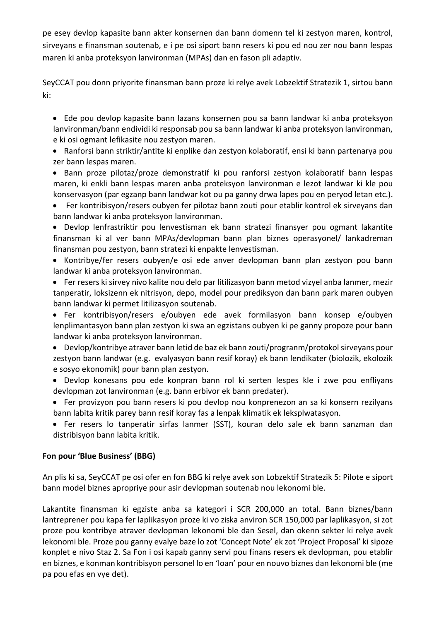pe esey devlop kapasite bann akter konsernen dan bann domenn tel ki zestyon maren, kontrol, sirveyans e finansman soutenab, e i pe osi siport bann resers ki pou ed nou zer nou bann lespas maren ki anba proteksyon lanvironman (MPAs) dan en fason pli adaptiv.

SeyCCAT pou donn priyorite finansman bann proze ki relye avek Lobzektif Stratezik 1, sirtou bann ki:

• Ede pou devlop kapasite bann lazans konsernen pou sa bann landwar ki anba proteksyon lanvironman/bann endividi ki responsab pou sa bann landwar ki anba proteksyon lanvironman, e ki osi ogmant lefikasite nou zestyon maren.

• Ranforsi bann striktir/antite ki enplike dan zestyon kolaboratif, ensi ki bann partenarya pou zer bann lespas maren.

• Bann proze pilotaz/proze demonstratif ki pou ranforsi zestyon kolaboratif bann lespas maren, ki enkli bann lespas maren anba proteksyon lanvironman e lezot landwar ki kle pou konservasyon (par egzanp bann landwar kot ou pa ganny drwa lapes pou en peryod letan etc.).

• Fer kontribisyon/resers oubyen fer pilotaz bann zouti pour etablir kontrol ek sirveyans dan bann landwar ki anba proteksyon lanvironman.

• Devlop lenfrastriktir pou lenvestisman ek bann stratezi finansyer pou ogmant lakantite finansman ki al ver bann MPAs/devlopman bann plan biznes operasyonel/ lankadreman finansman pou zestyon, bann stratezi ki enpakte lenvestisman.

• Kontribye/fer resers oubyen/e osi ede anver devlopman bann plan zestyon pou bann landwar ki anba proteksyon lanvironman.

• Fer resers ki sirvey nivo kalite nou delo par litilizasyon bann metod vizyel anba lanmer, mezir tanperatir, loksizenn ek nitrisyon, depo, model pour prediksyon dan bann park maren oubyen bann landwar ki permet litilizasyon soutenab.

• Fer kontribisyon/resers e/oubyen ede avek formilasyon bann konsep e/oubyen lenplimantasyon bann plan zestyon ki swa an egzistans oubyen ki pe ganny propoze pour bann landwar ki anba proteksyon lanvironman.

- Devlop/kontribye atraver bann letid de baz ek bann zouti/progranm/protokol sirveyans pour zestyon bann landwar (e.g. evalyasyon bann resif koray) ek bann lendikater (biolozik, ekolozik e sosyo ekonomik) pour bann plan zestyon.
- Devlop konesans pou ede konpran bann rol ki serten lespes kle i zwe pou enfliyans devlopman zot lanvironman (e.g. bann erbivor ek bann predater).
- Fer provizyon pou bann resers ki pou devlop nou konprenezon an sa ki konsern rezilyans bann labita kritik parey bann resif koray fas a lenpak klimatik ek leksplwatasyon.
- Fer resers lo tanperatir sirfas lanmer (SST), kouran delo sale ek bann sanzman dan distribisyon bann labita kritik.

#### **Fon pour 'Blue Business' (BBG)**

An plis ki sa, SeyCCAT pe osi ofer en fon BBG ki relye avek son Lobzektif Stratezik 5: Pilote e siport bann model biznes apropriye pour asir devlopman soutenab nou lekonomi ble.

Lakantite finansman ki egziste anba sa kategori i SCR 200,000 an total. Bann biznes/bann lantreprener pou kapa fer laplikasyon proze ki vo ziska anviron SCR 150,000 par laplikasyon, si zot proze pou kontribye atraver devlopman lekonomi ble dan Sesel, dan okenn sekter ki relye avek lekonomi ble. Proze pou ganny evalye baze lo zot 'Concept Note' ek zot 'Project Proposal' ki sipoze konplet e nivo Staz 2. Sa Fon i osi kapab ganny servi pou finans resers ek devlopman, pou etablir en biznes, e konman kontribisyon personel lo en 'loan' pour en nouvo biznes dan lekonomi ble (me pa pou efas en vye det).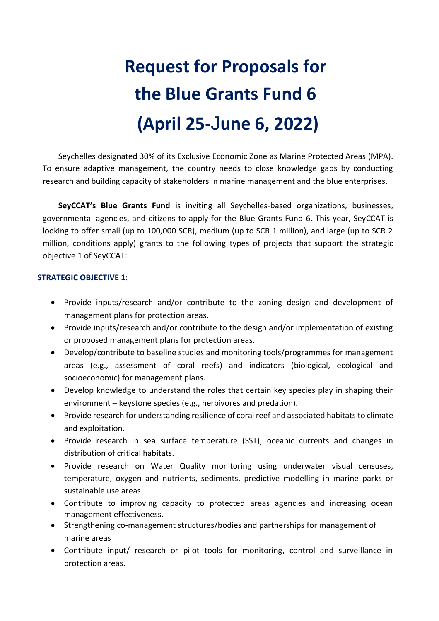# **Request for Proposals for the Blue Grants Fund 6 (April 25-**J**une 6, 2022)**

Seychelles designated 30% of its Exclusive Economic Zone as Marine Protected Areas (MPA). To ensure adaptive management, the country needs to close knowledge gaps by conducting research and building capacity of stakeholders in marine management and the blue enterprises.

**SeyCCAT's Blue Grants Fund** is inviting all Seychelles-based organizations, businesses, governmental agencies, and citizens to apply for the Blue Grants Fund 6. This year, SeyCCAT is looking to offer small (up to 100,000 SCR), medium (up to SCR 1 million), and large (up to SCR 2 million, conditions apply) grants to the following types of projects that support the strategic objective 1 of SeyCCAT:

#### **STRATEGIC OBJECTIVE 1:**

- Provide inputs/research and/or contribute to the zoning design and development of management plans for protection areas.
- Provide inputs/research and/or contribute to the design and/or implementation of existing or proposed management plans for protection areas.
- Develop/contribute to baseline studies and monitoring tools/programmes for management areas (e.g., assessment of coral reefs) and indicators (biological, ecological and socioeconomic) for management plans.
- Develop knowledge to understand the roles that certain key species play in shaping their environment – keystone species (e.g., herbivores and predation).
- Provide research for understanding resilience of coral reef and associated habitats to climate and exploitation.
- Provide research in sea surface temperature (SST), oceanic currents and changes in distribution of critical habitats.
- Provide research on Water Quality monitoring using underwater visual censuses, temperature, oxygen and nutrients, sediments, predictive modelling in marine parks or sustainable use areas.
- Contribute to improving capacity to protected areas agencies and increasing ocean management effectiveness.
- Strengthening co-management structures/bodies and partnerships for management of marine areas
- Contribute input/ research or pilot tools for monitoring, control and surveillance in protection areas.